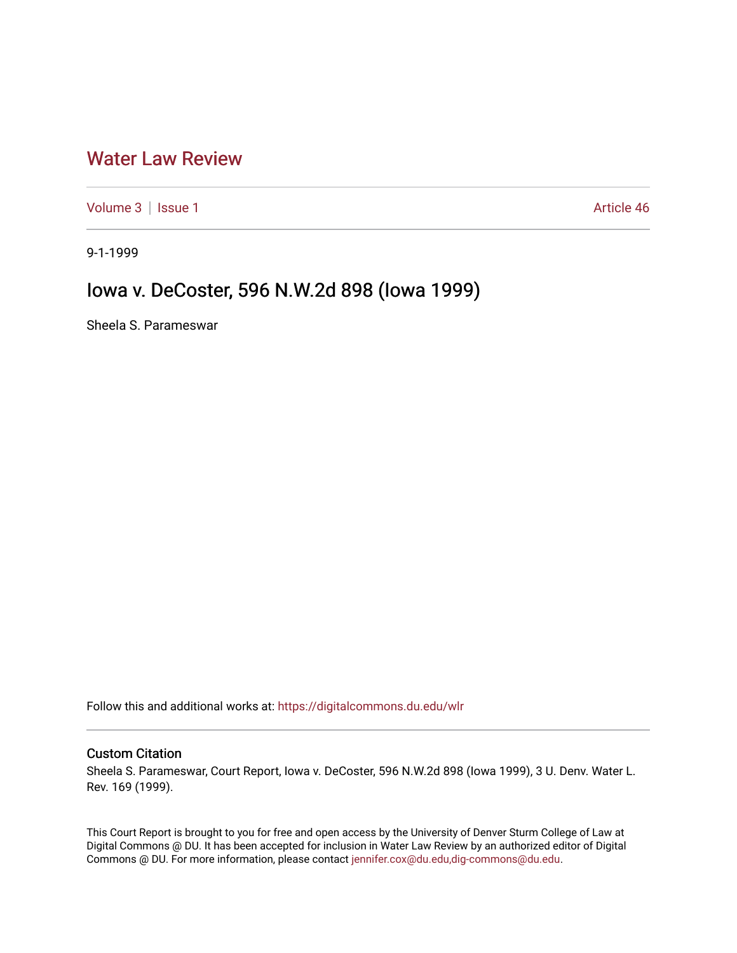## [Water Law Review](https://digitalcommons.du.edu/wlr)

[Volume 3](https://digitalcommons.du.edu/wlr/vol3) | [Issue 1](https://digitalcommons.du.edu/wlr/vol3/iss1) Article 46

9-1-1999

# Iowa v. DeCoster, 596 N.W.2d 898 (Iowa 1999)

Sheela S. Parameswar

Follow this and additional works at: [https://digitalcommons.du.edu/wlr](https://digitalcommons.du.edu/wlr?utm_source=digitalcommons.du.edu%2Fwlr%2Fvol3%2Fiss1%2F46&utm_medium=PDF&utm_campaign=PDFCoverPages) 

#### Custom Citation

Sheela S. Parameswar, Court Report, Iowa v. DeCoster, 596 N.W.2d 898 (Iowa 1999), 3 U. Denv. Water L. Rev. 169 (1999).

This Court Report is brought to you for free and open access by the University of Denver Sturm College of Law at Digital Commons @ DU. It has been accepted for inclusion in Water Law Review by an authorized editor of Digital Commons @ DU. For more information, please contact [jennifer.cox@du.edu,dig-commons@du.edu.](mailto:jennifer.cox@du.edu,dig-commons@du.edu)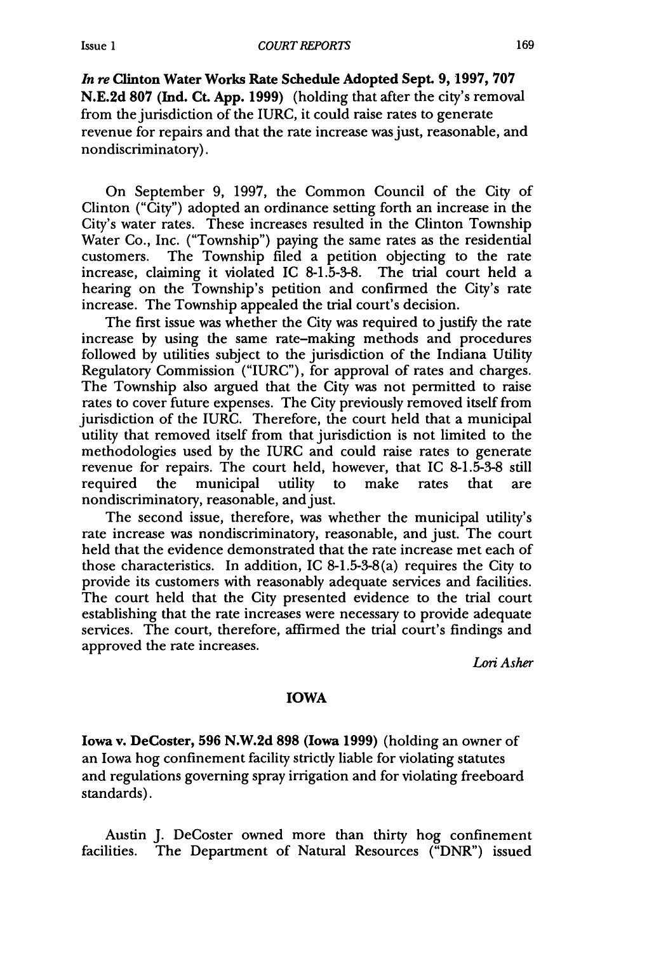*In re* Clinton Water Works Rate Schedule Adopted Sept. **9, 1997, 707 N.E.2d 807 (Ind.** Ct. **App. 1999)** (holding that after the city's removal from the jurisdiction of the IURC, it could raise rates to generate revenue for repairs and that the rate increase was just, reasonable, and nondiscriminatory).

On September 9, 1997, the Common Council of the City of Clinton ("City") adopted an ordinance setting forth an increase in the City's water rates. These increases resulted in the Clinton Township Water Co., Inc. ("Township") paying the same rates as the residential customers. The Township filed a petition objecting to the rate increase, claiming it violated IC 8-1.5-3-8. The trial court held a hearing on the Township's petition and confirmed the City's rate increase. The Township appealed the trial court's decision.

The first issue was whether the City was required to justify the rate increase by using the same rate-making methods and procedures followed by utilities subject to the jurisdiction of the Indiana Utility Regulatory Commission ("IURC"), for approval of rates and charges. The Township also argued that the City was not permitted to raise rates to cover future expenses. The City previously removed itself from jurisdiction of the IURC. Therefore, the court held that a municipal utility that removed itself from that jurisdiction is not limited to the methodologies used by the IURC and could raise rates to generate revenue for repairs. The court held, however, that IC **8-1.5-3-8** still required the municipal utility to make rates that are nondiscriminatory, reasonable, and just.

The second issue, therefore, was whether the municipal utility's rate increase was nondiscriminatory, reasonable, and just. The court held that the evidence demonstrated that the rate increase met each of those characteristics. In addition, IC 8-1.5-3-8(a) requires the City to provide its customers with reasonably adequate services and facilities. The court held that the City presented evidence to the trial court establishing that the rate increases were necessary to provide adequate services. The court, therefore, affirmed the trial court's findings and approved the rate increases.

*Lori* Asher

#### IOWA

Iowa v. DeCoster, **596** N.W.2d 898 (Iowa 1999) (holding an owner of an Iowa hog confinement facility strictly liable for violating statutes and regulations governing spray irrigation and for violating freeboard standards).

Austin J. DeCoster owned more than thirty hog confinement facilities. The Department of Natural Resources ("DNR") issued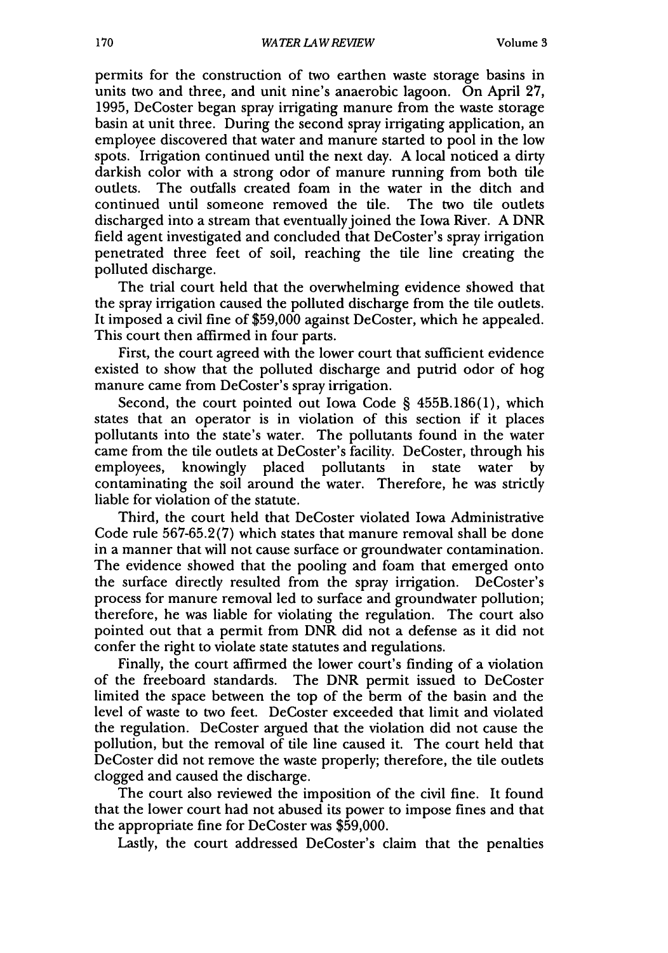permits for the construction of two earthen waste storage basins in units two and three, and unit nine's anaerobic lagoon. On April 27, 1995, DeCoster began spray irrigating manure from the waste storage basin at unit three. During the second spray irrigating application, an employee discovered that water and manure started to pool in the low spots. Irrigation continued until the next day. A local noticed a dirty darkish color with a strong odor of manure running from both tile outlets. The outfalls created foam in the water in the ditch and continued until someone removed the tile. The two tile outlets discharged into a stream that eventually joined the Iowa River. A DNR field agent investigated and concluded that DeCoster's spray irrigation penetrated three feet of soil, reaching the tile line creating the polluted discharge.

The trial court held that the overwhelming evidence showed that the spray irrigation caused the polluted discharge from the tile outlets. It imposed a civil fine of \$59,000 against DeCoster, which he appealed. This court then affirmed in four parts.

First, the court agreed with the lower court that sufficient evidence existed to show that the polluted discharge and putrid odor of hog manure came from DeCoster's spray irrigation.

Second, the court pointed out Iowa Code § 455B.186(1), which states that an operator is in violation of this section if it places pollutants into the state's water. The pollutants found in the water came from the tile outlets at DeCoster's facility. DeCoster, through his employees, knowingly placed pollutants in state water by contaminating the soil around the water. Therefore, he was strictly liable for violation of the statute.

Third, the court held that DeCoster violated Iowa Administrative Code rule 567-65.2(7) which states that manure removal shall be done in a manner that will not cause surface or groundwater contamination. The evidence showed that the pooling and foam that emerged onto the surface directly resulted from the spray irrigation. DeCoster's process for manure removal led to surface and groundwater pollution; therefore, he was liable for violating the regulation. The court also pointed out that a permit from DNR did not a defense as it did not confer the right to violate state statutes and regulations.

Finally, the court affirmed the lower court's finding of a violation of the freeboard standards. The DNR permit issued to DeCoster limited the space between the top of the berm of the basin and the level of waste to two feet. DeCoster exceeded that limit and violated the regulation. DeCoster argued that the violation did not cause the pollution, but the removal of tile line caused it. The court held that DeCoster did not remove the waste properly; therefore, the tile outlets clogged and caused the discharge.

The court also reviewed the imposition of the civil fine. It found that the lower court had not abused its power to impose fines and that the appropriate fine for DeCoster was \$59,000.

Lastly, the court addressed DeCoster's claim that the penalties